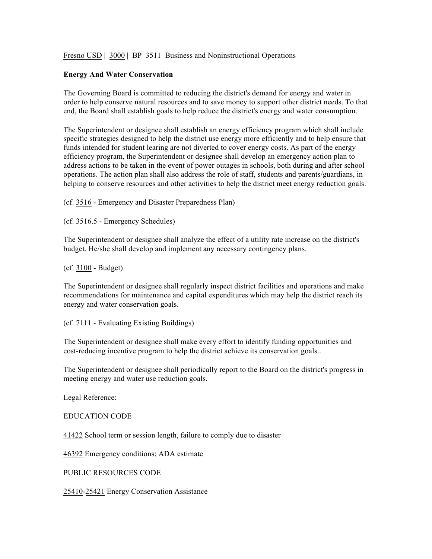Fresno USD | 3000 | BP 3511 Business and Noninstructional Operations

## **Energy And Water Conservation**

The Governing Board is committed to reducing the district's demand for energy and water in order to help conserve natural resources and to save money to support other district needs. To that end, the Board shall establish goals to help reduce the district's energy and water consumption.

The Superintendent or designee shall establish an energy efficiency program which shall include specific strategies designed to help the district use energy more efficiently and to help ensure that funds intended for student learing are not diverted to cover energy costs. As part of the energy efficiency program, the Superintendent or designee shall develop an emergency action plan to address actions to be taken in the event of power outages in schools, both during and after school operations. The action plan shall also address the role of staff, students and parents/guardians, in helping to conserve resources and other activities to help the district meet energy reduction goals.

(cf. 3516 - Emergency and Disaster Preparedness Plan)

(cf. 3516.5 - Emergency Schedules)

The Superintendent or designee shall analyze the effect of a utility rate increase on the district's budget. He/she shall develop and implement any necessary contingency plans.

(cf. 3100 - Budget)

The Superintendent or designee shall regularly inspect district facilities and operations and make recommendations for maintenance and capital expenditures which may help the district reach its energy and water conservation goals.

(cf. 7111 - Evaluating Existing Buildings)

The Superintendent or designee shall make every effort to identify funding opportunities and cost-reducing incentive program to help the district achieve its conservation goals..

The Superintendent or designee shall periodically report to the Board on the district's progress in meeting energy and water use reduction goals.

Legal Reference:

EDUCATION CODE

41422 School term or session length, failure to comply due to disaster

46392 Emergency conditions; ADA estimate

PUBLIC RESOURCES CODE

25410-25421 Energy Conservation Assistance